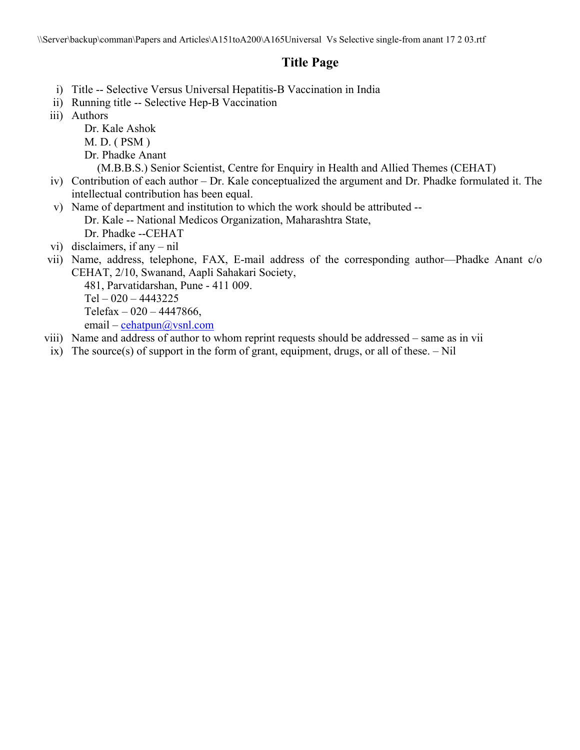# **Title Page**

- i) Title -- Selective Versus Universal Hepatitis-B Vaccination in India
- ii) Running title -- Selective Hep-B Vaccination
- iii) Authors
	- Dr. Kale Ashok
	- M. D. ( PSM )
	- Dr. Phadke Anant
		- (M.B.B.S.) Senior Scientist, Centre for Enquiry in Health and Allied Themes (CEHAT)
- iv) Contribution of each author Dr. Kale conceptualized the argument and Dr. Phadke formulated it. The intellectual contribution has been equal.
- v) Name of department and institution to which the work should be attributed --
	- Dr. Kale -- National Medicos Organization, Maharashtra State,
	- Dr. Phadke --CEHAT
- vi) disclaimers, if any nil
- vii) Name, address, telephone, FAX, E-mail address of the corresponding author—Phadke Anant c/o CEHAT, 2/10, Swanand, Aapli Sahakari Society,

481, Parvatidarshan, Pune - 411 009.  $Tel - 020 - 4443225$ Telefax  $-020 - 4447866$ , email – cehatpun@vsnl.com

- viii) Name and address of author to whom reprint requests should be addressed same as in vii
- ix) The source(s) of support in the form of grant, equipment, drugs, or all of these.  $-$  Nil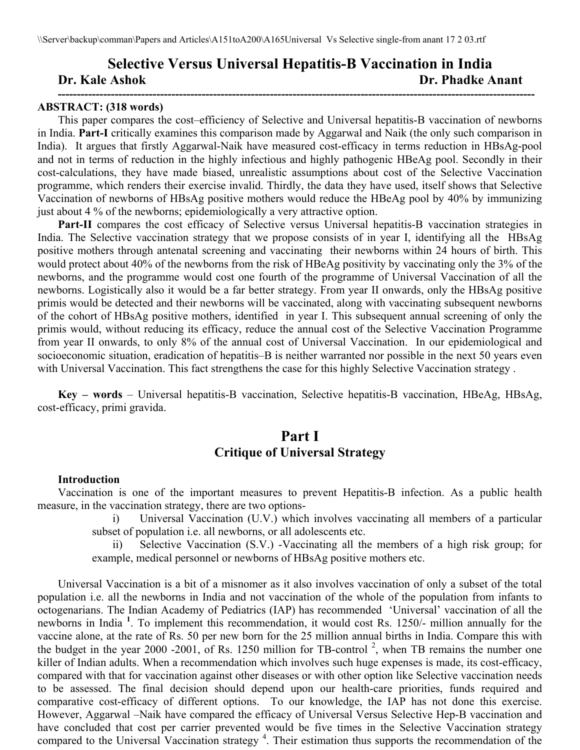# **Selective Versus Universal Hepatitis-B Vaccination in India Dr. Kale Ashok Dr. Phadke Anant ------------------------------------------------------------------------------------------------------------------------------**

#### **ABSTRACT: (318 words)**

This paper compares the cost–efficiency of Selective and Universal hepatitis-B vaccination of newborns in India. **Part-I** critically examines this comparison made by Aggarwal and Naik (the only such comparison in India). It argues that firstly Aggarwal-Naik have measured cost-efficacy in terms reduction in HBsAg-pool and not in terms of reduction in the highly infectious and highly pathogenic HBeAg pool. Secondly in their cost-calculations, they have made biased, unrealistic assumptions about cost of the Selective Vaccination programme, which renders their exercise invalid. Thirdly, the data they have used, itself shows that Selective Vaccination of newborns of HBsAg positive mothers would reduce the HBeAg pool by 40% by immunizing just about 4 % of the newborns; epidemiologically a very attractive option.

Part-II compares the cost efficacy of Selective versus Universal hepatitis-B vaccination strategies in India. The Selective vaccination strategy that we propose consists of in year I, identifying all the HBsAg positive mothers through antenatal screening and vaccinating their newborns within 24 hours of birth. This would protect about 40% of the newborns from the risk of HBeAg positivity by vaccinating only the 3% of the newborns, and the programme would cost one fourth of the programme of Universal Vaccination of all the newborns. Logistically also it would be a far better strategy. From year II onwards, only the HBsAg positive primis would be detected and their newborns will be vaccinated, along with vaccinating subsequent newborns of the cohort of HBsAg positive mothers, identified in year I. This subsequent annual screening of only the primis would, without reducing its efficacy, reduce the annual cost of the Selective Vaccination Programme from year II onwards, to only 8% of the annual cost of Universal Vaccination. In our epidemiological and socioeconomic situation, eradication of hepatitis–B is neither warranted nor possible in the next 50 years even with Universal Vaccination. This fact strengthens the case for this highly Selective Vaccination strategy .

**Key – words** – Universal hepatitis-B vaccination, Selective hepatitis-B vaccination, HBeAg, HBsAg, cost-efficacy, primi gravida.

# **Part I Critique of Universal Strategy**

#### **Introduction**

Vaccination is one of the important measures to prevent Hepatitis-B infection. As a public health measure, in the vaccination strategy, there are two options-

> i) Universal Vaccination (U.V.) which involves vaccinating all members of a particular subset of population i.e. all newborns, or all adolescents etc.

> ii) Selective Vaccination (S.V.) -Vaccinating all the members of a high risk group; for example, medical personnel or newborns of HBsAg positive mothers etc.

Universal Vaccination is a bit of a misnomer as it also involves vaccination of only a subset of the total population i.e. all the newborns in India and not vaccination of the whole of the population from infants to octogenarians. The Indian Academy of Pediatrics (IAP) has recommended 'Universal' vaccination of all the newborns in India **<sup>1</sup>** . To implement this recommendation, it would cost Rs. 1250/- million annually for the vaccine alone, at the rate of Rs. 50 per new born for the 25 million annual births in India. Compare this with the budget in the year 2000 -2001, of Rs. 1250 million for TB-control<sup>2</sup>, when TB remains the number one killer of Indian adults. When a recommendation which involves such huge expenses is made, its cost-efficacy, compared with that for vaccination against other diseases or with other option like Selective vaccination needs to be assessed. The final decision should depend upon our health-care priorities, funds required and comparative cost-efficacy of different options. To our knowledge, the IAP has not done this exercise. However, Aggarwal –Naik have compared the efficacy of Universal Versus Selective Hep-B vaccination and have concluded that cost per carrier prevented would be five times in the Selective Vaccination strategy compared to the Universal Vaccination strategy<sup>4</sup>. Their estimation thus supports the recommendation of the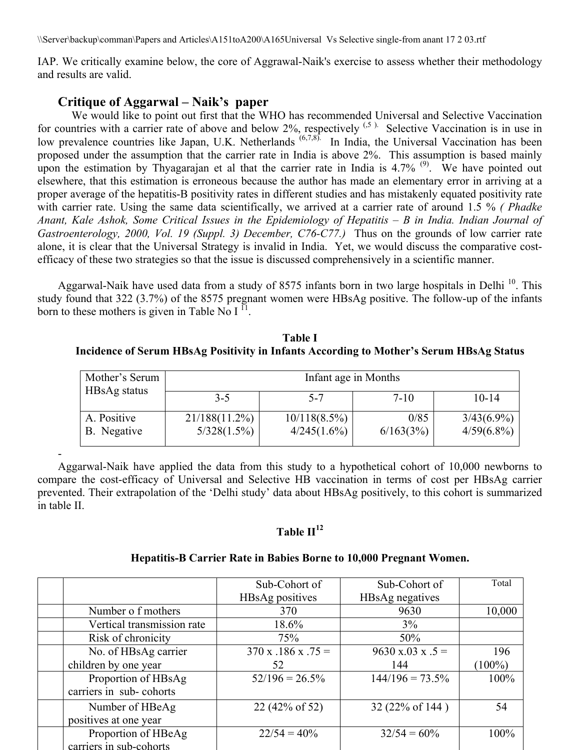IAP. We critically examine below, the core of Aggrawal-Naik's exercise to assess whether their methodology and results are valid.

## **Critique of Aggarwal – Naik's paper**

-

We would like to point out first that the WHO has recommended Universal and Selective Vaccination for countries with a carrier rate of above and below  $2\%$ , respectively  $(5)$ . Selective Vaccination is in use in low prevalence countries like Japan, U.K. Netherlands <sup>(6,7,8)</sup>. In India, the Universal Vaccination has been proposed under the assumption that the carrier rate in India is above 2%. This assumption is based mainly upon the estimation by Thyagarajan et al that the carrier rate in India is  $4.7\%$ <sup>(9)</sup>. We have pointed out elsewhere, that this estimation is erroneous because the author has made an elementary error in arriving at a proper average of the hepatitis-B positivity rates in different studies and has mistakenly equated positivity rate with carrier rate. Using the same data scientifically, we arrived at a carrier rate of around 1.5 % *( Phadke Anant, Kale Ashok, Some Critical Issues in the Epidemiology of Hepatitis – B in India. Indian Journal of Gastroenterology, 2000, Vol. 19 (Suppl. 3) December, C76-C77.)* Thus on the grounds of low carrier rate alone, it is clear that the Universal Strategy is invalid in India. Yet, we would discuss the comparative costefficacy of these two strategies so that the issue is discussed comprehensively in a scientific manner.

Aggarwal-Naik have used data from a study of 8575 infants born in two large hospitals in Delhi<sup>10</sup>. This study found that 322 (3.7%) of the 8575 pregnant women were HBsAg positive. The follow-up of the infants born to these mothers is given in Table No  $I<sup>11</sup>$ .

**Table I Incidence of Serum HBsAg Positivity in Infants According to Mother's Serum HBsAg Status** 

| Mother's Serum             | Infant age in Months         |                                |                   |                                |  |
|----------------------------|------------------------------|--------------------------------|-------------------|--------------------------------|--|
| HBsAg status               | $3 - 5$                      | $5 - 7$                        | $7 - 10$          | $10 - 14$                      |  |
| A. Positive<br>B. Negative | 21/188(11.2%)<br>5/328(1.5%) | $10/118(8.5\%)$<br>4/245(1.6%) | 0/85<br>6/163(3%) | $3/43(6.9\%)$<br>$4/59(6.8\%)$ |  |

Aggarwal-Naik have applied the data from this study to a hypothetical cohort of 10,000 newborns to compare the cost-efficacy of Universal and Selective HB vaccination in terms of cost per HBsAg carrier prevented. Their extrapolation of the 'Delhi study' data about HBsAg positively, to this cohort is summarized in table II.

## **Table**  $II^{12}$

### **Hepatitis-B Carrier Rate in Babies Borne to 10,000 Pregnant Women.**

|                            | Sub-Cohort of        | Sub-Cohort of                   | Total     |
|----------------------------|----------------------|---------------------------------|-----------|
|                            | HBsAg positives      | HBsAg negatives                 |           |
| Number of mothers          | 370                  | 9630                            | 10,000    |
| Vertical transmission rate | 18.6%                | 3%                              |           |
| Risk of chronicity         | 75%                  | 50%                             |           |
| No. of HBsAg carrier       | $370 x .186 x .75 =$ | $9630 \times 0.03 \times 0.5 =$ | 196       |
| children by one year       | 52                   | 144                             | $(100\%)$ |
| Proportion of HBsAg        | $52/196 = 26.5\%$    | $144/196 = 73.5\%$              | 100%      |
| carriers in sub-cohorts    |                      |                                 |           |
| Number of HBeAg            | 22 (42% of 52)       | 32 (22% of 144)                 | 54        |
| positives at one year      |                      |                                 |           |
| Proportion of HBeAg        | $22/54 = 40\%$       | $32/54 = 60\%$                  | 100%      |
| carriers in sub-cohorts    |                      |                                 |           |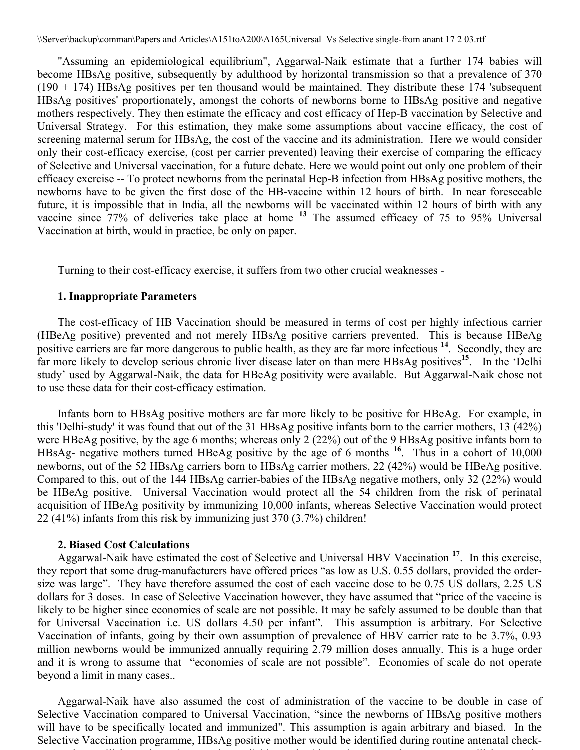"Assuming an epidemiological equilibrium", Aggarwal-Naik estimate that a further 174 babies will become HBsAg positive, subsequently by adulthood by horizontal transmission so that a prevalence of 370  $(190 + 174)$  HBsAg positives per ten thousand would be maintained. They distribute these 174 'subsequent HBsAg positives' proportionately, amongst the cohorts of newborns borne to HBsAg positive and negative mothers respectively. They then estimate the efficacy and cost efficacy of Hep-B vaccination by Selective and Universal Strategy. For this estimation, they make some assumptions about vaccine efficacy, the cost of screening maternal serum for HBsAg, the cost of the vaccine and its administration. Here we would consider only their cost-efficacy exercise, (cost per carrier prevented) leaving their exercise of comparing the efficacy of Selective and Universal vaccination, for a future debate. Here we would point out only one problem of their efficacy exercise -- To protect newborns from the perinatal Hep-B infection from HBsAg positive mothers, the newborns have to be given the first dose of the HB-vaccine within 12 hours of birth. In near foreseeable future, it is impossible that in India, all the newborns will be vaccinated within 12 hours of birth with any vaccine since 77% of deliveries take place at home **<sup>13</sup>** The assumed efficacy of 75 to 95% Universal Vaccination at birth, would in practice, be only on paper.

Turning to their cost-efficacy exercise, it suffers from two other crucial weaknesses -

### **1. Inappropriate Parameters**

The cost-efficacy of HB Vaccination should be measured in terms of cost per highly infectious carrier (HBeAg positive) prevented and not merely HBsAg positive carriers prevented. This is because HBeAg positive carriers are far more dangerous to public health, as they are far more infectious <sup>14</sup>. Secondly, they are far more likely to develop serious chronic liver disease later on than mere HBsAg positives**<sup>15</sup>**. In the 'Delhi study' used by Aggarwal-Naik, the data for HBeAg positivity were available. But Aggarwal-Naik chose not to use these data for their cost-efficacy estimation.

Infants born to HBsAg positive mothers are far more likely to be positive for HBeAg. For example, in this 'Delhi-study' it was found that out of the 31 HBsAg positive infants born to the carrier mothers, 13 (42%) were HBeAg positive, by the age 6 months; whereas only 2 (22%) out of the 9 HBsAg positive infants born to HBsAg- negative mothers turned HBeAg positive by the age of 6 months **<sup>16</sup>**. Thus in a cohort of 10,000 newborns, out of the 52 HBsAg carriers born to HBsAg carrier mothers, 22 (42%) would be HBeAg positive. Compared to this, out of the 144 HBsAg carrier-babies of the HBsAg negative mothers, only 32 (22%) would be HBeAg positive. Universal Vaccination would protect all the 54 children from the risk of perinatal acquisition of HBeAg positivity by immunizing 10,000 infants, whereas Selective Vaccination would protect 22 (41%) infants from this risk by immunizing just 370 (3.7%) children!

### **2. Biased Cost Calculations**

Aggarwal-Naik have estimated the cost of Selective and Universal HBV Vaccination **<sup>17</sup>**. In this exercise, they report that some drug-manufacturers have offered prices "as low as U.S. 0.55 dollars, provided the ordersize was large". They have therefore assumed the cost of each vaccine dose to be 0.75 US dollars, 2.25 US dollars for 3 doses. In case of Selective Vaccination however, they have assumed that "price of the vaccine is likely to be higher since economies of scale are not possible. It may be safely assumed to be double than that for Universal Vaccination i.e. US dollars 4.50 per infant". This assumption is arbitrary. For Selective Vaccination of infants, going by their own assumption of prevalence of HBV carrier rate to be 3.7%, 0.93 million newborns would be immunized annually requiring 2.79 million doses annually. This is a huge order and it is wrong to assume that "economies of scale are not possible". Economies of scale do not operate beyond a limit in many cases..

Aggarwal-Naik have also assumed the cost of administration of the vaccine to be double in case of Selective Vaccination compared to Universal Vaccination, "since the newborns of HBsAg positive mothers will have to be specifically located and immunized". This assumption is again arbitrary and biased. In the Selective Vaccination programme, HBsAg positive mother would be identified during routine antenatal check-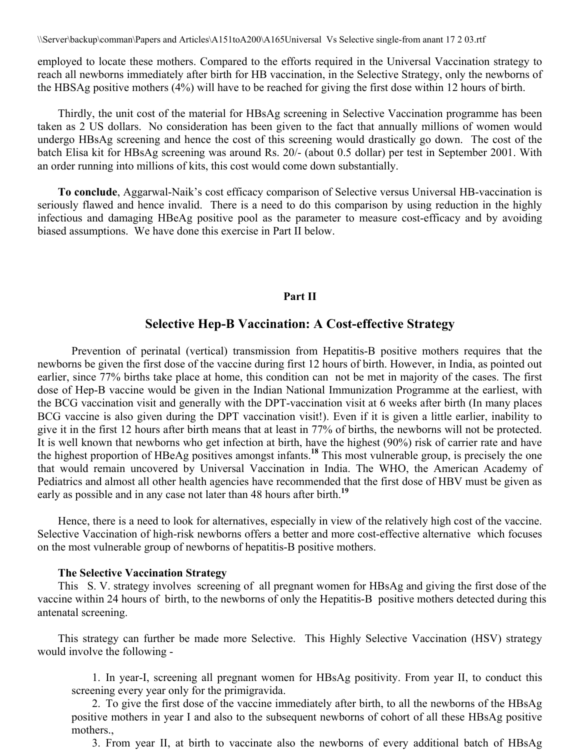employed to locate these mothers. Compared to the efforts required in the Universal Vaccination strategy to reach all newborns immediately after birth for HB vaccination, in the Selective Strategy, only the newborns of the HBSAg positive mothers (4%) will have to be reached for giving the first dose within 12 hours of birth.

Thirdly, the unit cost of the material for HBsAg screening in Selective Vaccination programme has been taken as 2 US dollars. No consideration has been given to the fact that annually millions of women would undergo HBsAg screening and hence the cost of this screening would drastically go down. The cost of the batch Elisa kit for HBsAg screening was around Rs. 20/- (about 0.5 dollar) per test in September 2001. With an order running into millions of kits, this cost would come down substantially.

**To conclude**, Aggarwal-Naik's cost efficacy comparison of Selective versus Universal HB-vaccination is seriously flawed and hence invalid. There is a need to do this comparison by using reduction in the highly infectious and damaging HBeAg positive pool as the parameter to measure cost-efficacy and by avoiding biased assumptions. We have done this exercise in Part II below.

#### **Part II**

## **Selective Hep-B Vaccination: A Cost-effective Strategy**

 Prevention of perinatal (vertical) transmission from Hepatitis-B positive mothers requires that the newborns be given the first dose of the vaccine during first 12 hours of birth. However, in India, as pointed out earlier, since 77% births take place at home, this condition can not be met in majority of the cases. The first dose of Hep-B vaccine would be given in the Indian National Immunization Programme at the earliest, with the BCG vaccination visit and generally with the DPT-vaccination visit at 6 weeks after birth (In many places BCG vaccine is also given during the DPT vaccination visit!). Even if it is given a little earlier, inability to give it in the first 12 hours after birth means that at least in 77% of births, the newborns will not be protected. It is well known that newborns who get infection at birth, have the highest (90%) risk of carrier rate and have the highest proportion of HBeAg positives amongst infants.**<sup>18</sup>** This most vulnerable group, is precisely the one that would remain uncovered by Universal Vaccination in India. The WHO, the American Academy of Pediatrics and almost all other health agencies have recommended that the first dose of HBV must be given as early as possible and in any case not later than 48 hours after birth.**<sup>19</sup>**

Hence, there is a need to look for alternatives, especially in view of the relatively high cost of the vaccine. Selective Vaccination of high-risk newborns offers a better and more cost-effective alternative which focuses on the most vulnerable group of newborns of hepatitis-B positive mothers.

## **The Selective Vaccination Strategy**

This S. V. strategy involves screening of all pregnant women for HBsAg and giving the first dose of the vaccine within 24 hours of birth, to the newborns of only the Hepatitis-B positive mothers detected during this antenatal screening.

This strategy can further be made more Selective. This Highly Selective Vaccination (HSV) strategy would involve the following -

1. In year-I, screening all pregnant women for HBsAg positivity. From year II, to conduct this screening every year only for the primigravida.

2. To give the first dose of the vaccine immediately after birth, to all the newborns of the HBsAg positive mothers in year I and also to the subsequent newborns of cohort of all these HBsAg positive mothers.,

3. From year II, at birth to vaccinate also the newborns of every additional batch of HBsAg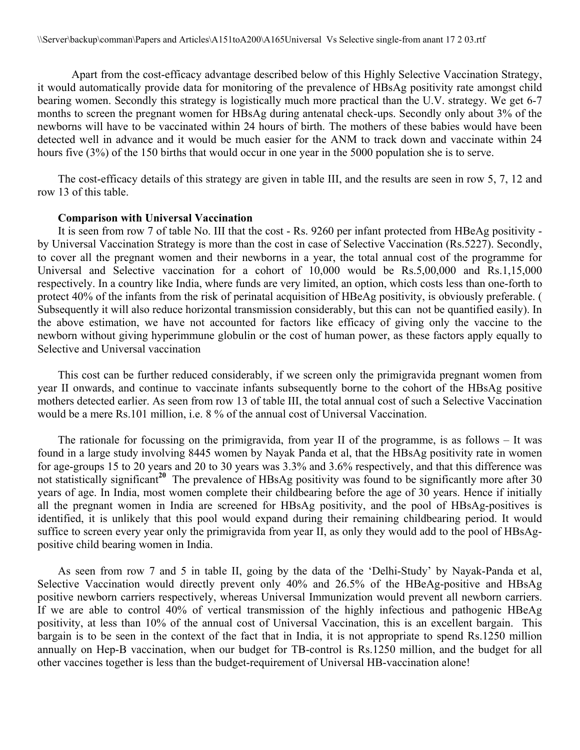Apart from the cost-efficacy advantage described below of this Highly Selective Vaccination Strategy, it would automatically provide data for monitoring of the prevalence of HBsAg positivity rate amongst child bearing women. Secondly this strategy is logistically much more practical than the U.V. strategy. We get 6-7 months to screen the pregnant women for HBsAg during antenatal check-ups. Secondly only about 3% of the newborns will have to be vaccinated within 24 hours of birth. The mothers of these babies would have been detected well in advance and it would be much easier for the ANM to track down and vaccinate within 24 hours five (3%) of the 150 births that would occur in one year in the 5000 population she is to serve.

The cost-efficacy details of this strategy are given in table III, and the results are seen in row 5, 7, 12 and row 13 of this table.

### **Comparison with Universal Vaccination**

It is seen from row 7 of table No. III that the cost - Rs. 9260 per infant protected from HBeAg positivity by Universal Vaccination Strategy is more than the cost in case of Selective Vaccination (Rs.5227). Secondly, to cover all the pregnant women and their newborns in a year, the total annual cost of the programme for Universal and Selective vaccination for a cohort of 10,000 would be Rs.5,00,000 and Rs.1,15,000 respectively. In a country like India, where funds are very limited, an option, which costs less than one-forth to protect 40% of the infants from the risk of perinatal acquisition of HBeAg positivity, is obviously preferable. ( Subsequently it will also reduce horizontal transmission considerably, but this can not be quantified easily). In the above estimation, we have not accounted for factors like efficacy of giving only the vaccine to the newborn without giving hyperimmune globulin or the cost of human power, as these factors apply equally to Selective and Universal vaccination

This cost can be further reduced considerably, if we screen only the primigravida pregnant women from year II onwards, and continue to vaccinate infants subsequently borne to the cohort of the HBsAg positive mothers detected earlier. As seen from row 13 of table III, the total annual cost of such a Selective Vaccination would be a mere Rs.101 million, i.e. 8 % of the annual cost of Universal Vaccination.

The rationale for focussing on the primigravida, from year II of the programme, is as follows – It was found in a large study involving 8445 women by Nayak Panda et al, that the HBsAg positivity rate in women for age-groups 15 to 20 years and 20 to 30 years was 3.3% and 3.6% respectively, and that this difference was not statistically significant<sup>20</sup> The prevalence of HBsAg positivity was found to be significantly more after 30 years of age. In India, most women complete their childbearing before the age of 30 years. Hence if initially all the pregnant women in India are screened for HBsAg positivity, and the pool of HBsAg-positives is identified, it is unlikely that this pool would expand during their remaining childbearing period. It would suffice to screen every year only the primigravida from year II, as only they would add to the pool of HBsAgpositive child bearing women in India.

As seen from row 7 and 5 in table II, going by the data of the 'Delhi-Study' by Nayak-Panda et al, Selective Vaccination would directly prevent only 40% and 26.5% of the HBeAg-positive and HBsAg positive newborn carriers respectively, whereas Universal Immunization would prevent all newborn carriers. If we are able to control 40% of vertical transmission of the highly infectious and pathogenic HBeAg positivity, at less than 10% of the annual cost of Universal Vaccination, this is an excellent bargain. This bargain is to be seen in the context of the fact that in India, it is not appropriate to spend Rs.1250 million annually on Hep-B vaccination, when our budget for TB-control is Rs.1250 million, and the budget for all other vaccines together is less than the budget-requirement of Universal HB-vaccination alone!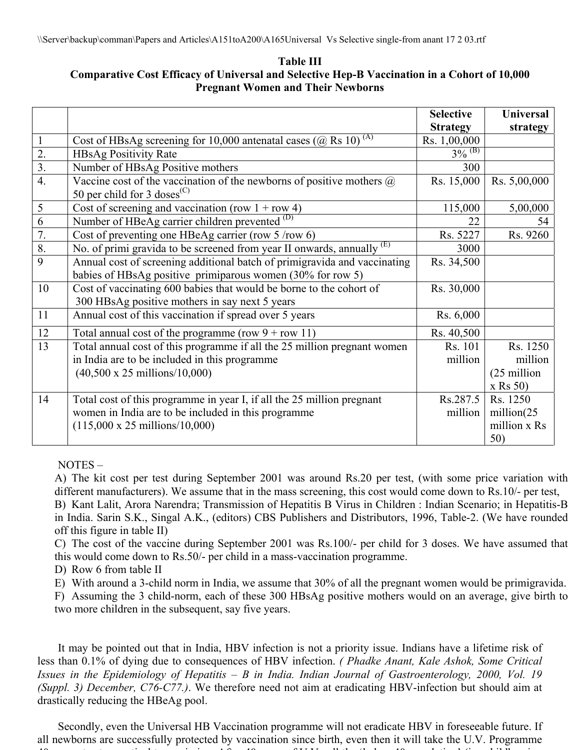**Table III Comparative Cost Efficacy of Universal and Selective Hep-B Vaccination in a Cohort of 10,000 Pregnant Women and Their Newborns** 

|                  |                                                                                             | <b>Selective</b>     | <b>Universal</b> |
|------------------|---------------------------------------------------------------------------------------------|----------------------|------------------|
|                  |                                                                                             | <b>Strategy</b>      | strategy         |
|                  | Cost of HBsAg screening for 10,000 antenatal cases ( $\overline{(a)}$ Rs 10) <sup>(A)</sup> | Rs. 1,00,000         |                  |
| 2.               | <b>HBsAg Positivity Rate</b>                                                                | $3\%$ <sup>(B)</sup> |                  |
| $\overline{3}$ . | Number of HBsAg Positive mothers                                                            | 300                  |                  |
| $\overline{4}$ . | Vaccine cost of the vaccination of the newborns of positive mothers $\omega$                | Rs. 15,000           | Rs. 5,00,000     |
|                  | 50 per child for 3 doses <sup>(C)</sup>                                                     |                      |                  |
| 5                | Cost of screening and vaccination (row $1 + row 4$ )                                        | 115,000              | 5,00,000         |
| 6                | Number of HBeAg carrier children prevented <sup>(D)</sup>                                   | 22                   | 54               |
| 7.               | Cost of preventing one HBeAg carrier (row $5/row 6$ )                                       | Rs. 5227             | Rs. 9260         |
| 8.               | No. of primi gravida to be screened from year II onwards, annually $(E)$                    | 3000                 |                  |
| 9                | Annual cost of screening additional batch of primigravida and vaccinating                   | Rs. 34,500           |                  |
|                  | babies of HBsAg positive primiparous women (30% for row 5)                                  |                      |                  |
| 10               | Cost of vaccinating 600 babies that would be borne to the cohort of                         | Rs. 30,000           |                  |
|                  | 300 HBsAg positive mothers in say next 5 years                                              |                      |                  |
| 11               | Annual cost of this vaccination if spread over 5 years                                      | Rs. 6,000            |                  |
| 12               | Total annual cost of the programme (row $9 + row 11$ )                                      | Rs. 40,500           |                  |
| 13               | Total annual cost of this programme if all the 25 million pregnant women                    | Rs. 101              | Rs. 1250         |
|                  | in India are to be included in this programme                                               | million              | million          |
|                  | $(40,500 \times 25 \text{ millions}/10,000)$                                                |                      | (25 million      |
|                  |                                                                                             |                      | $x$ Rs 50)       |
| 14               | Total cost of this programme in year I, if all the 25 million pregnant                      | Rs.287.5             | Rs. 1250         |
|                  | women in India are to be included in this programme                                         | million              | million(25)      |
|                  | $(115,000 \times 25 \text{ millions}/10,000)$                                               |                      | million x Rs     |
|                  |                                                                                             |                      | 50)              |

NOTES –

A) The kit cost per test during September 2001 was around Rs.20 per test, (with some price variation with different manufacturers). We assume that in the mass screening, this cost would come down to Rs.10/- per test, B) Kant Lalit, Arora Narendra; Transmission of Hepatitis B Virus in Children : Indian Scenario; in Hepatitis-B in India. Sarin S.K., Singal A.K., (editors) CBS Publishers and Distributors, 1996, Table-2. (We have rounded off this figure in table II)

C) The cost of the vaccine during September 2001 was Rs.100/- per child for 3 doses. We have assumed that this would come down to Rs.50/- per child in a mass-vaccination programme.

D) Row 6 from table II

E) With around a 3-child norm in India, we assume that 30% of all the pregnant women would be primigravida.

F) Assuming the 3 child-norm, each of these 300 HBsAg positive mothers would on an average, give birth to two more children in the subsequent, say five years.

It may be pointed out that in India, HBV infection is not a priority issue. Indians have a lifetime risk of less than 0.1% of dying due to consequences of HBV infection. *( Phadke Anant, Kale Ashok, Some Critical Issues in the Epidemiology of Hepatitis – B in India. Indian Journal of Gastroenterology, 2000, Vol. 19 (Suppl. 3) December, C76-C77.)*. We therefore need not aim at eradicating HBV-infection but should aim at drastically reducing the HBeAg pool.

Secondly, even the Universal HB Vaccination programme will not eradicate HBV in foreseeable future. If all newborns are successfully protected by vaccination since birth, even then it will take the U.V. Programme  $\mathcal{A}^{\mathcal{A}}$  to the internal function of  $\mathcal{A}^{\mathcal{A}}$  and  $\mathcal{A}^{\mathcal{A}}$  is a large internal function of  $\mathcal{A}^{\mathcal{A}}$  in  $\mathcal{A}^{\mathcal{A}}$  in  $\mathcal{A}^{\mathcal{A}}$  in  $\mathcal{A}^{\mathcal{A}}$  in  $\mathcal{A}^{\mathcal{A}}$  in  $\mathcal{A}^{\mathcal{A}}$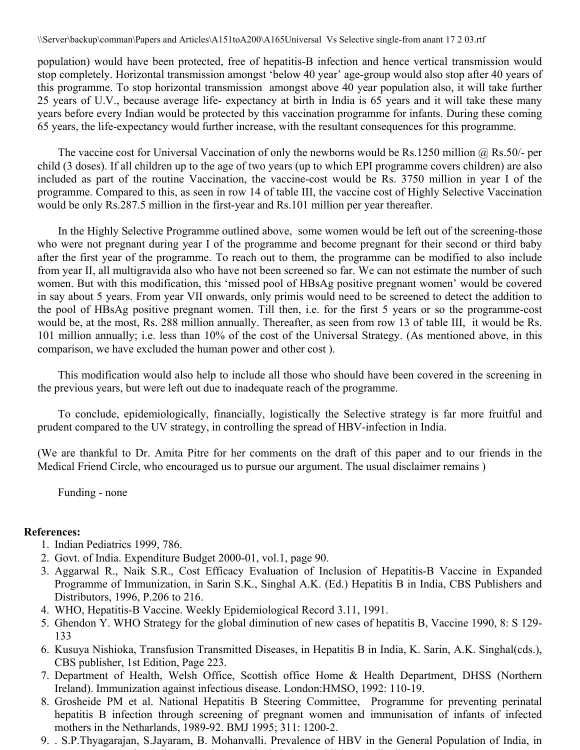population) would have been protected, free of hepatitis-B infection and hence vertical transmission would stop completely. Horizontal transmission amongst 'below 40 year' age-group would also stop after 40 years of this programme. To stop horizontal transmission amongst above 40 year population also, it will take further 25 years of U.V., because average life- expectancy at birth in India is 65 years and it will take these many years before every Indian would be protected by this vaccination programme for infants. During these coming 65 years, the life-expectancy would further increase, with the resultant consequences for this programme.

The vaccine cost for Universal Vaccination of only the newborns would be Rs.1250 million @ Rs.50/- per child (3 doses). If all children up to the age of two years (up to which EPI programme covers children) are also included as part of the routine Vaccination, the vaccine-cost would be Rs. 3750 million in year I of the programme. Compared to this, as seen in row 14 of table III, the vaccine cost of Highly Selective Vaccination would be only Rs.287.5 million in the first-year and Rs.101 million per year thereafter.

In the Highly Selective Programme outlined above, some women would be left out of the screening-those who were not pregnant during year I of the programme and become pregnant for their second or third baby after the first year of the programme. To reach out to them, the programme can be modified to also include from year II, all multigravida also who have not been screened so far. We can not estimate the number of such women. But with this modification, this 'missed pool of HBsAg positive pregnant women' would be covered in say about 5 years. From year VII onwards, only primis would need to be screened to detect the addition to the pool of HBsAg positive pregnant women. Till then, i.e. for the first 5 years or so the programme-cost would be, at the most, Rs. 288 million annually. Thereafter, as seen from row 13 of table III, it would be Rs. 101 million annually; i.e. less than 10% of the cost of the Universal Strategy. (As mentioned above, in this comparison, we have excluded the human power and other cost ).

This modification would also help to include all those who should have been covered in the screening in the previous years, but were left out due to inadequate reach of the programme.

To conclude, epidemiologically, financially, logistically the Selective strategy is far more fruitful and prudent compared to the UV strategy, in controlling the spread of HBV-infection in India.

(We are thankful to Dr. Amita Pitre for her comments on the draft of this paper and to our friends in the Medical Friend Circle, who encouraged us to pursue our argument. The usual disclaimer remains )

Funding - none

# **References:**

- 1. Indian Pediatrics 1999, 786.
- 2. Govt. of India. Expenditure Budget 2000-01, vol.1, page 90.
- 3. Aggarwal R., Naik S.R., Cost Efficacy Evaluation of Inclusion of Hepatitis-B Vaccine in Expanded Programme of Immunization, in Sarin S.K., Singhal A.K. (Ed.) Hepatitis B in India, CBS Publishers and Distributors, 1996, P.206 to 216.
- 4. WHO, Hepatitis-B Vaccine. Weekly Epidemiological Record 3.11, 1991.
- 5. Ghendon Y. WHO Strategy for the global diminution of new cases of hepatitis B, Vaccine 1990, 8: S 129- 133
- 6. Kusuya Nishioka, Transfusion Transmitted Diseases, in Hepatitis B in India, K. Sarin, A.K. Singhal(cds.), CBS publisher, 1st Edition, Page 223.
- 7. Department of Health, Welsh Office, Scottish office Home & Health Department, DHSS (Northern Ireland). Immunization against infectious disease. London:HMSO, 1992: 110-19.
- 8. Grosheide PM et al. National Hepatitis B Steering Committee, Programme for preventing perinatal hepatitis B infection through screening of pregnant women and immunisation of infants of infected mothers in the Netharlands, 1989-92. BMJ 1995; 311: 1200-2.
- 9. . S.P.Thyagarajan, S.Jayaram, B. Mohanvalli. Prevalence of HBV in the General Population of India, in